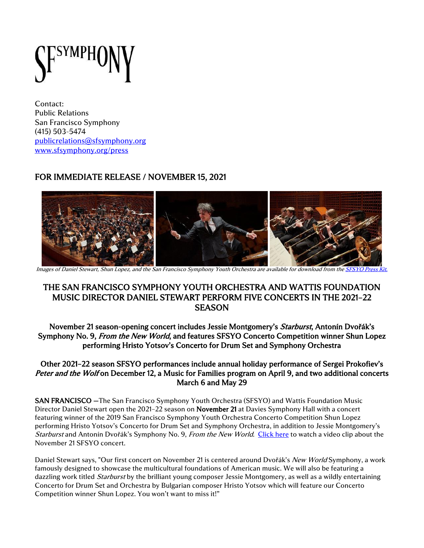

Contact: Public Relations San Francisco Symphony (415) 503-5474 [publicrelations@sfsymphony.org](mailto:publicrelations@sfsymphony.org) [www.sfsymphony.org/press](http://www.sfsymphony.org/press)

# FOR IMMEDIATE RELEASE / NOVEMBER 15, 2021



Images of Daniel Stewart, Shun Lopez, and the San Francisco Symphony Youth Orchestra are available for download from th[e SFSYO Press Kit](https://www.sfsymphony.org/About-SFS/Press-Room/Press-Kits/Youth-Orchestra).

## THE SAN FRANCISCO SYMPHONY YOUTH ORCHESTRA AND WATTIS FOUNDATION MUSIC DIRECTOR DANIEL STEWART PERFORM FIVE CONCERTS IN THE 2021–22 **SEASON**

November 21 season-opening concert includes Jessie Montgomery's Starburst, Antonín Dvořák's Symphony No. 9, From the New World, and features SFSYO Concerto Competition winner Shun Lopez performing Hristo Yotsov's Concerto for Drum Set and Symphony Orchestra

#### Other 2021–22 season SFSYO performances include annual holiday performance of Sergei Prokofiev's Peter and the Wolf on December 12, a Music for Families program on April 9, and two additional concerts March 6 and May 29

SAN FRANCISCO —The San Francisco Symphony Youth Orchestra (SFSYO) and Wattis Foundation Music Director Daniel Stewart open the 2021–22 season on November 21 at Davies Symphony Hall with a concert featuring winner of the 2019 San Francisco Symphony Youth Orchestra Concerto Competition Shun Lopez performing Hristo Yotsov's Concerto for Drum Set and Symphony Orchestra, in addition to Jessie Montgomery's Starburst and Antonín Dvořák's Symphony No. 9, From the New World. [Click](https://www.youtube.com/watch?v=ycdMSK6rIe4) here to watch a video clip about the November 21 SFSYO concert.

Daniel Stewart says, "Our first concert on November 21 is centered around Dvořák's New World Symphony, a work famously designed to showcase the multicultural foundations of American music. We will also be featuring a dazzling work titled *Starburst* by the brilliant young composer Jessie Montgomery, as well as a wildly entertaining Concerto for Drum Set and Orchestra by Bulgarian composer Hristo Yotsov which will feature our Concerto Competition winner Shun Lopez. You won't want to miss it!"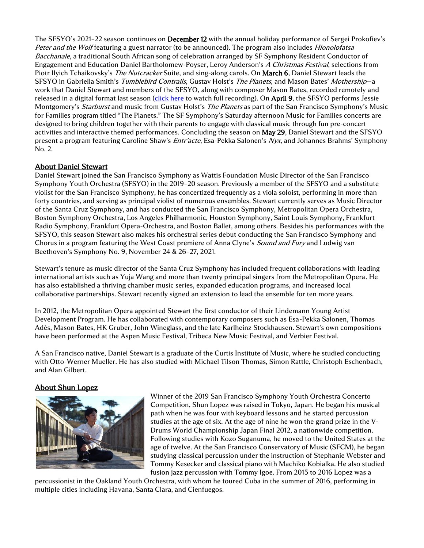The SFSYO's 2021–22 season continues on December 12 with the annual holiday performance of Sergei Prokofiev's Peter and the Wolf featuring a guest narrator (to be announced). The program also includes *Hlonolofatsa* Bacchanale, a traditional South African song of celebration arranged by SF Symphony Resident Conductor of Engagement and Education Daniel Bartholomew-Poyser, Leroy Anderson's A Christmas Festival, selections from Piotr Ilyich Tchaikovsky's The Nutcracker Suite, and sing-along carols. On March 6, Daniel Stewart leads the SFSYO in Gabriella Smith's Tumblebird Contrails, Gustav Holst's The Planets, and Mason Bates' Mothership-a work that Daniel Stewart and members of the SFSYO, along with composer Mason Bates, recorded remotely and released in a digital format last season [\(click here](https://www.youtube.com/watch?v=qZ1WhUnEAno) to watch full recording). On April 9, the SFSYO performs Jessie Montgomery's Starburst and music from Gustav Holst's The Planets as part of the San Francisco Symphony's Music for Families program titled "The Planets." The SF Symphony's Saturday afternoon Music for Families concerts are designed to bring children together with their parents to engage with classical music through fun pre-concert activities and interactive themed performances. Concluding the season on May 29, Daniel Stewart and the SFSYO present a program featuring Caroline Shaw's *Entr'acte*, Esa-Pekka Salonen's Nyx, and Johannes Brahms' Symphony No. 2.

#### About Daniel Stewart

Daniel Stewart joined the San Francisco Symphony as Wattis Foundation Music Director of the San Francisco Symphony Youth Orchestra (SFSYO) in the 2019–20 season. Previously a member of the SFSYO and a substitute violist for the San Francisco Symphony, he has concertized frequently as a viola soloist, performing in more than forty countries, and serving as principal violist of numerous ensembles. Stewart currently serves as Music Director of the Santa Cruz Symphony, and has conducted the San Francisco Symphony, Metropolitan Opera Orchestra, Boston Symphony Orchestra, Los Angeles Philharmonic, Houston Symphony, Saint Louis Symphony, Frankfurt Radio Symphony, Frankfurt Opera-Orchestra, and Boston Ballet, among others. Besides his performances with the SFSYO, this season Stewart also makes his orchestral series debut conducting the San Francisco Symphony and Chorus in a program featuring the West Coast premiere of Anna Clyne's *Sound and Fury* and Ludwig van Beethoven's Symphony No. 9, November 24 & 26–27, 2021.

Stewart's tenure as music director of the Santa Cruz Symphony has included frequent collaborations with leading international artists such as Yuja Wang and more than twenty principal singers from the Metropolitan Opera. He has also established a thriving chamber music series, expanded education programs, and increased local collaborative partnerships. Stewart recently signed an extension to lead the ensemble for ten more years.

In 2012, the Metropolitan Opera appointed Stewart the first conductor of their Lindemann Young Artist Development Program. He has collaborated with contemporary composers such as Esa-Pekka Salonen, Thomas Adès, Mason Bates, HK Gruber, John Wineglass, and the late Karlheinz Stockhausen. Stewart's own compositions have been performed at the Aspen Music Festival, Tribeca New Music Festival, and Verbier Festival.

A San Francisco native, Daniel Stewart is a graduate of the Curtis Institute of Music, where he studied conducting with Otto-Werner Mueller. He has also studied with Michael Tilson Thomas, Simon Rattle, Christoph Eschenbach, and Alan Gilbert.

#### About Shun Lopez



Winner of the 2019 San Francisco Symphony Youth Orchestra Concerto Competition, Shun Lopez was raised in Tokyo, Japan. He began his musical path when he was four with keyboard lessons and he started percussion studies at the age of six. At the age of nine he won the grand prize in the V-Drums World Championship Japan Final 2012, a nationwide competition. Following studies with Kozo Suganuma, he moved to the United States at the age of twelve. At the San Francisco Conservatory of Music (SFCM), he began studying classical percussion under the instruction of Stephanie Webster and Tommy Kesecker and classical piano with Machiko Kobialka. He also studied fusion jazz percussion with Tommy Igoe. From 2015 to 2016 Lopez was a

percussionist in the Oakland Youth Orchestra, with whom he toured Cuba in the summer of 2016, performing in multiple cities including Havana, Santa Clara, and Cienfuegos.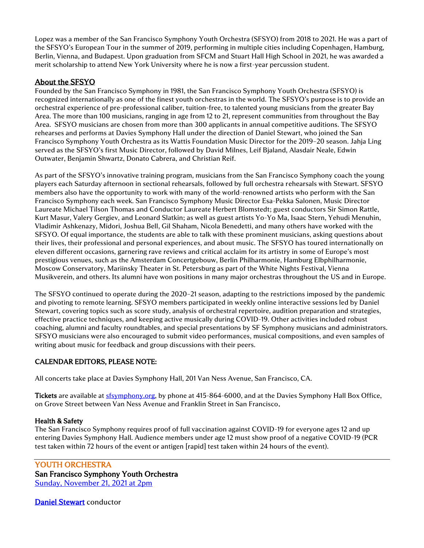Lopez was a member of the San Francisco Symphony Youth Orchestra (SFSYO) from 2018 to 2021. He was a part of the SFSYO's European Tour in the summer of 2019, performing in multiple cities including Copenhagen, Hamburg, Berlin, Vienna, and Budapest. Upon graduation from SFCM and Stuart Hall High School in 2021, he was awarded a merit scholarship to attend New York University where he is now a first-year percussion student.

### About the SFSYO

Founded by the San Francisco Symphony in 1981, the San Francisco Symphony Youth Orchestra (SFSYO) is recognized internationally as one of the finest youth orchestras in the world. The SFSYO's purpose is to provide an orchestral experience of pre-professional caliber, tuition-free, to talented young musicians from the greater Bay Area. The more than 100 musicians, ranging in age from 12 to 21, represent communities from throughout the Bay Area. SFSYO musicians are chosen from more than 300 applicants in annual competitive auditions. The SFSYO rehearses and performs at Davies Symphony Hall under the direction of Daniel Stewart, who joined the San Francisco Symphony Youth Orchestra as its Wattis Foundation Music Director for the 2019–20 season. Jahja Ling served as the SFSYO's first Music Director, followed by David Milnes, Leif Bjaland, Alasdair Neale, Edwin Outwater, Benjamin Shwartz, Donato Cabrera, and Christian Reif.

As part of the SFSYO's innovative training program, musicians from the San Francisco Symphony coach the young players each Saturday afternoon in sectional rehearsals, followed by full orchestra rehearsals with Stewart. SFSYO members also have the opportunity to work with many of the world-renowned artists who perform with the San Francisco Symphony each week. San Francisco Symphony Music Director Esa-Pekka Salonen, Music Director Laureate Michael Tilson Thomas and Conductor Laureate Herbert Blomstedt; guest conductors Sir Simon Rattle, Kurt Masur, Valery Gergiev, and Leonard Slatkin; as well as guest artists Yo-Yo Ma, Isaac Stern, Yehudi Menuhin, Vladimir Ashkenazy, Midori, Joshua Bell, Gil Shaham, Nicola Benedetti, and many others have worked with the SFSYO. Of equal importance, the students are able to talk with these prominent musicians, asking questions about their lives, their professional and personal experiences, and about music. The SFSYO has toured internationally on eleven different occasions, garnering rave reviews and critical acclaim for its artistry in some of Europe's most prestigious venues, such as the Amsterdam Concertgebouw, Berlin Philharmonie, Hamburg Elbphilharmonie, Moscow Conservatory, Mariinsky Theater in St. Petersburg as part of the White Nights Festival, Vienna Musikverein, and others. Its alumni have won positions in many major orchestras throughout the US and in Europe.

The SFSYO continued to operate during the 2020–21 season, adapting to the restrictions imposed by the pandemic and pivoting to remote learning. SFSYO members participated in weekly online interactive sessions led by Daniel Stewart, covering topics such as score study, analysis of orchestral repertoire, audition preparation and strategies, effective practice techniques, and keeping active musically during COVID-19. Other activities included robust coaching, alumni and faculty roundtables, and special presentations by SF Symphony musicians and administrators. SFSYO musicians were also encouraged to submit video performances, musical compositions, and even samples of writing about music for feedback and group discussions with their peers.

## CALENDAR EDITORS, PLEASE NOTE:

All concerts take place at Davies Symphony Hall, 201 Van Ness Avenue, San Francisco, CA.

Tickets are available at [sfsymphony.org,](http://sfsymphony.org/) by phone at 415-864-6000, and at the Davies Symphony Hall Box Office, on Grove Street between Van Ness Avenue and Franklin Street in San Francisco.

#### Health & Safety

The San Francisco Symphony requires proof of full vaccination against COVID-19 for everyone ages 12 and up entering Davies Symphony Hall. Audience members under age 12 must show proof of a negative COVID-19 (PCR test taken within 72 hours of the event or antigen [rapid] test taken within 24 hours of the event).

YOUTH ORCHESTRA San Francisco Symphony Youth Orchestra [Sunday, November 21, 2021 at 2pm](https://www.sfsymphony.org/Buy-Tickets/2021-22/Youth-Orchestra-nov-21)

[Daniel Stewart](https://www.sfsymphony.org/About-SFS/Press-Room/Key-Leadership-Biographies/Daniel-Stewart) conductor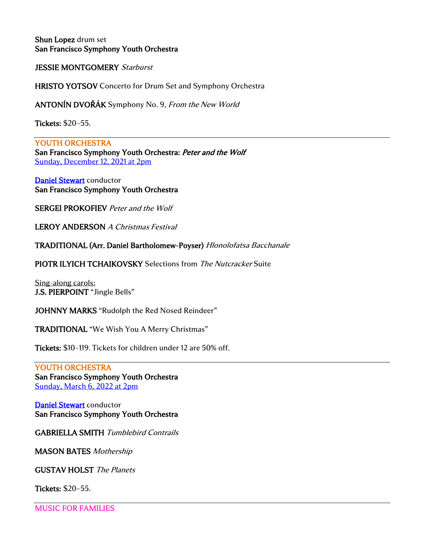Shun Lopez drum set San Francisco Symphony Youth Orchestra

JESSIE MONTGOMERY Starburst

HRISTO YOTSOV Concerto for Drum Set and Symphony Orchestra

ANTONÍN DVOŘÁK Symphony No. 9, From the New World

Tickets: \$20–55.

YOUTH ORCHESTRA San Francisco Symphony Youth Orchestra: Peter and the Wolf [Sunday, December 12, 2021 at 2pm](https://www.sfsymphony.org/Buy-Tickets/2021-22/San-Francisco-Symphony-Youth-Orchestra-Peter-and-t)

[Daniel Stewart](https://www.sfsymphony.org/About-SFS/Press-Room/Key-Leadership-Biographies/Daniel-Stewart) conductor San Francisco Symphony Youth Orchestra

SERGEI PROKOFIEV Peter and the Wolf

LEROY ANDERSON A Christmas Festival

TRADITIONAL (Arr. Daniel Bartholomew-Poyser) Hlonolofatsa Bacchanale

PIOTR ILYICH TCHAIKOVSKY Selections from The Nutcracker Suite

Sing-along carols: J.S. PIERPOINT "Jingle Bells"

JOHNNY MARKS "Rudolph the Red Nosed Reindeer"

TRADITIONAL "We Wish You A Merry Christmas"

Tickets: \$10–119. Tickets for children under 12 are 50% off.

YOUTH ORCHESTRA San Francisco Symphony Youth Orchestra [Sunday, March 6, 2022 at 2pm](https://www.sfsymphony.org/Buy-Tickets/2021-22/Youth-Orchestra-march-6)

[Daniel Stewart](https://www.sfsymphony.org/About-SFS/Press-Room/Key-Leadership-Biographies/Daniel-Stewart) conductor San Francisco Symphony Youth Orchestra

GABRIELLA SMITH Tumblebird Contrails

MASON BATES Mothership

GUSTAV HOLST The Planets

Tickets: \$20–55.

MUSIC FOR FAMILIES